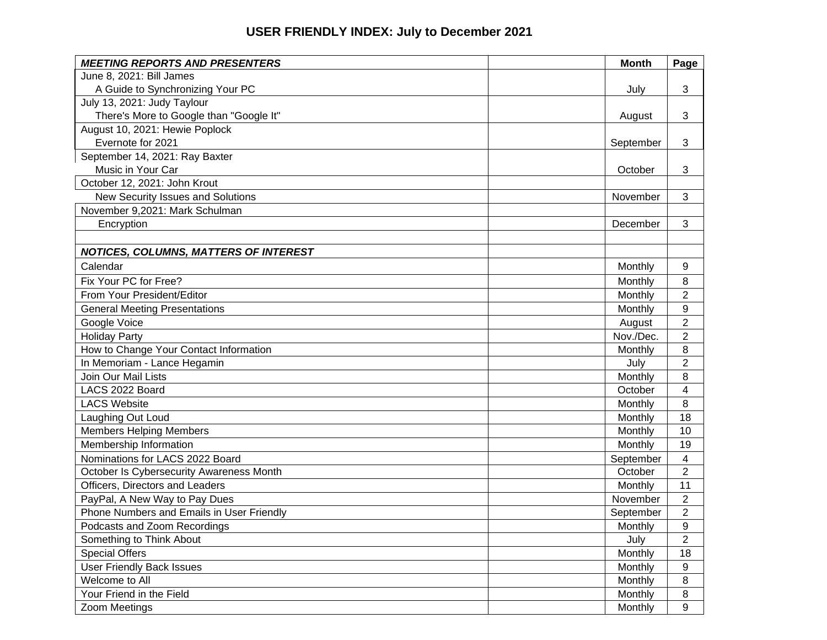## **USER FRIENDLY INDEX: July to December 2021**

| <b>MEETING REPORTS AND PRESENTERS</b>        | <b>Month</b> | Page                    |
|----------------------------------------------|--------------|-------------------------|
| June 8, 2021: Bill James                     |              |                         |
| A Guide to Synchronizing Your PC             | July         | 3                       |
| July 13, 2021: Judy Taylour                  |              |                         |
| There's More to Google than "Google It"      | August       | 3                       |
| August 10, 2021: Hewie Poplock               |              |                         |
| Evernote for 2021                            | September    | 3                       |
| September 14, 2021: Ray Baxter               |              |                         |
| Music in Your Car                            | October      | 3                       |
| October 12, 2021: John Krout                 |              |                         |
| New Security Issues and Solutions            | November     | 3                       |
| November 9,2021: Mark Schulman               |              |                         |
| Encryption                                   | December     | 3                       |
|                                              |              |                         |
| <b>NOTICES, COLUMNS, MATTERS OF INTEREST</b> |              |                         |
| Calendar                                     | Monthly      | 9                       |
| Fix Your PC for Free?                        | Monthly      | 8                       |
| From Your President/Editor                   | Monthly      | $\overline{2}$          |
| <b>General Meeting Presentations</b>         | Monthly      | 9                       |
| Google Voice                                 | August       | $\boldsymbol{2}$        |
| <b>Holiday Party</b>                         | Nov./Dec.    | $\overline{2}$          |
| How to Change Your Contact Information       | Monthly      | 8                       |
| In Memoriam - Lance Hegamin                  | July         | $\overline{2}$          |
| Join Our Mail Lists                          | Monthly      | 8                       |
| LACS 2022 Board                              | October      | 4                       |
| <b>LACS Website</b>                          | Monthly      | 8                       |
| Laughing Out Loud                            | Monthly      | 18                      |
| <b>Members Helping Members</b>               | Monthly      | 10                      |
| Membership Information                       | Monthly      | 19                      |
| Nominations for LACS 2022 Board              | September    | $\overline{\mathbf{4}}$ |
| October Is Cybersecurity Awareness Month     | October      | $\overline{2}$          |
| Officers, Directors and Leaders              | Monthly      | 11                      |
| PayPal, A New Way to Pay Dues                | November     | $\overline{2}$          |
| Phone Numbers and Emails in User Friendly    | September    | $\overline{2}$          |
| Podcasts and Zoom Recordings                 | Monthly      | 9                       |
| Something to Think About                     | July         | $\overline{2}$          |
| <b>Special Offers</b>                        | Monthly      | 18                      |
| <b>User Friendly Back Issues</b>             | Monthly      | 9                       |
| Welcome to All                               | Monthly      | $\,8\,$                 |
| Your Friend in the Field                     | Monthly      | 8                       |
| Zoom Meetings                                | Monthly      | 9                       |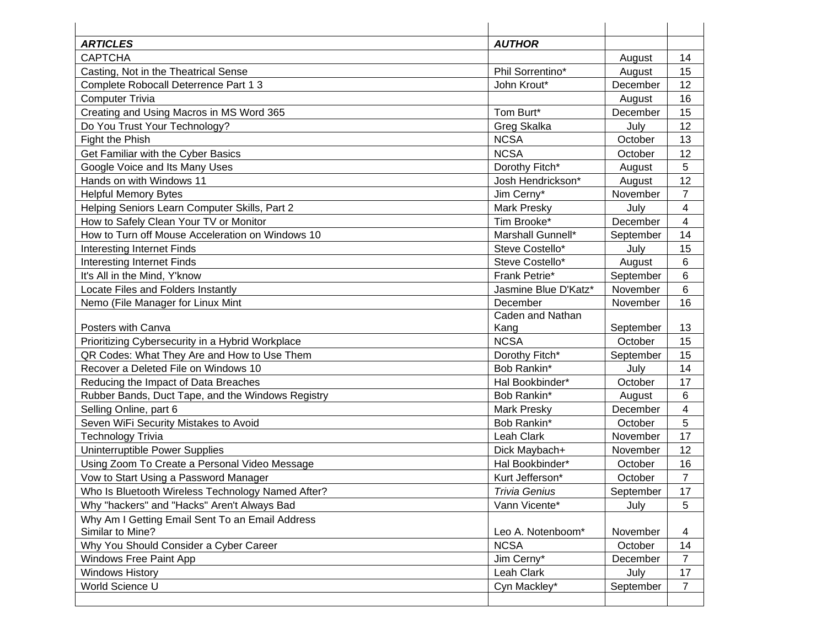| <b>ARTICLES</b>                                                     | <b>AUTHOR</b>        |           |                |
|---------------------------------------------------------------------|----------------------|-----------|----------------|
| <b>CAPTCHA</b>                                                      |                      | August    | 14             |
| Casting, Not in the Theatrical Sense                                | Phil Sorrentino*     | August    | 15             |
| Complete Robocall Deterrence Part 1 3                               | John Krout*          | December  | 12             |
| <b>Computer Trivia</b>                                              |                      | August    | 16             |
| Creating and Using Macros in MS Word 365                            | Tom Burt*            | December  | 15             |
| Do You Trust Your Technology?                                       | Greg Skalka          | July      | 12             |
| Fight the Phish                                                     | <b>NCSA</b>          | October   | 13             |
| Get Familiar with the Cyber Basics                                  | <b>NCSA</b>          | October   | 12             |
| Google Voice and Its Many Uses                                      | Dorothy Fitch*       | August    | 5              |
| Hands on with Windows 11                                            | Josh Hendrickson*    | August    | 12             |
| <b>Helpful Memory Bytes</b>                                         | Jim Cerny*           | November  | $\overline{7}$ |
| Helping Seniors Learn Computer Skills, Part 2                       | <b>Mark Presky</b>   | July      | 4              |
| How to Safely Clean Your TV or Monitor                              | Tim Brooke*          | December  | 4              |
| How to Turn off Mouse Acceleration on Windows 10                    | Marshall Gunnell*    | September | 14             |
| Interesting Internet Finds                                          | Steve Costello*      | July      | 15             |
| <b>Interesting Internet Finds</b>                                   | Steve Costello*      | August    | 6              |
| It's All in the Mind, Y'know                                        | Frank Petrie*        | September | 6              |
| Locate Files and Folders Instantly                                  | Jasmine Blue D'Katz* | November  | 6              |
| Nemo (File Manager for Linux Mint                                   | December             | November  | 16             |
|                                                                     | Caden and Nathan     |           |                |
| Posters with Canva                                                  | Kang                 | September | 13             |
| Prioritizing Cybersecurity in a Hybrid Workplace                    | <b>NCSA</b>          | October   | 15             |
| QR Codes: What They Are and How to Use Them                         | Dorothy Fitch*       | September | 15             |
| Recover a Deleted File on Windows 10                                | Bob Rankin*          | July      | 14             |
| Reducing the Impact of Data Breaches                                | Hal Bookbinder*      | October   | 17             |
| Rubber Bands, Duct Tape, and the Windows Registry                   | Bob Rankin*          | August    | 6              |
| Selling Online, part 6                                              | <b>Mark Presky</b>   | December  | 4              |
| Seven WiFi Security Mistakes to Avoid                               | Bob Rankin*          | October   | 5              |
| <b>Technology Trivia</b>                                            | Leah Clark           | November  | 17             |
| Uninterruptible Power Supplies                                      | Dick Maybach+        | November  | 12             |
| Using Zoom To Create a Personal Video Message                       | Hal Bookbinder*      | October   | 16             |
| Vow to Start Using a Password Manager                               | Kurt Jefferson*      | October   | $\overline{7}$ |
| Who Is Bluetooth Wireless Technology Named After?                   | <b>Trivia Genius</b> | September | 17             |
| Why "hackers" and "Hacks" Aren't Always Bad                         | Vann Vicente*        | July      | 5              |
| Why Am I Getting Email Sent To an Email Address<br>Similar to Mine? | Leo A. Notenboom*    | November  | 4              |
| Why You Should Consider a Cyber Career                              | <b>NCSA</b>          | October   | 14             |
| Windows Free Paint App                                              | Jim Cerny*           | December  | $\overline{7}$ |
| <b>Windows History</b>                                              | Leah Clark           | July      | 17             |
| World Science U                                                     | Cyn Mackley*         | September | $\overline{7}$ |
|                                                                     |                      |           |                |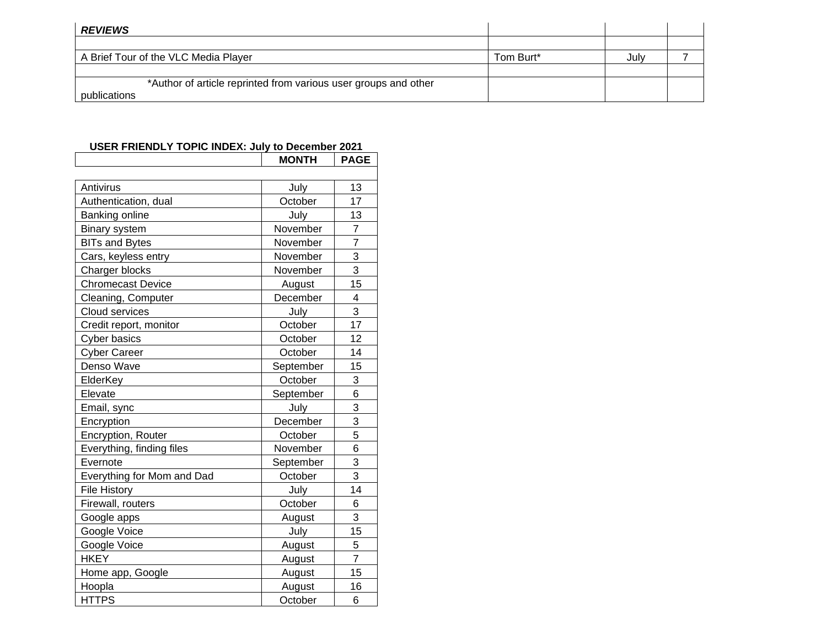| <b>REVIEWS</b>                                                  |           |      |  |
|-----------------------------------------------------------------|-----------|------|--|
|                                                                 |           |      |  |
| A Brief Tour of the VLC Media Player                            | Tom Burt* | July |  |
|                                                                 |           |      |  |
| *Author of article reprinted from various user groups and other |           |      |  |
| publications                                                    |           |      |  |

## **USER FRIENDLY TOPIC INDEX: July to December 2021**

|                            | <b>MONTH</b> | <b>PAGE</b>    |
|----------------------------|--------------|----------------|
|                            |              |                |
| Antivirus                  | July         | 13             |
| Authentication, dual       | October      | 17             |
| Banking online             | July         | 13             |
| Binary system              | November     | $\overline{7}$ |
| <b>BITs and Bytes</b>      | November     | 7              |
| Cars, keyless entry        | November     | 3              |
| Charger blocks             | November     | 3              |
| <b>Chromecast Device</b>   | August       | 15             |
| Cleaning, Computer         | December     | 4              |
| Cloud services             | July         | 3              |
| Credit report, monitor     | October      | 17             |
| <b>Cyber basics</b>        | October      | 12             |
| <b>Cyber Career</b>        | October      | 14             |
| Denso Wave                 | September    | 15             |
| ElderKey                   | October      | 3              |
| Elevate                    | September    | 6              |
| Email, sync                | July         | 3              |
| Encryption                 | December     | $\overline{3}$ |
| Encryption, Router         | October      | 5              |
| Everything, finding files  | November     | 6              |
| Evernote                   | September    | 3              |
| Everything for Mom and Dad | October      | 3              |
| <b>File History</b>        | July         | 14             |
| Firewall, routers          | October      | 6              |
| Google apps                | August       | 3              |
| Google Voice               | July         | 15             |
| Google Voice               | August       | 5              |
| <b>HKEY</b>                | August       | 7              |
| Home app, Google           | August       | 15             |
| Hoopla                     | August       | 16             |
| <b>HTTPS</b>               | October      | 6              |